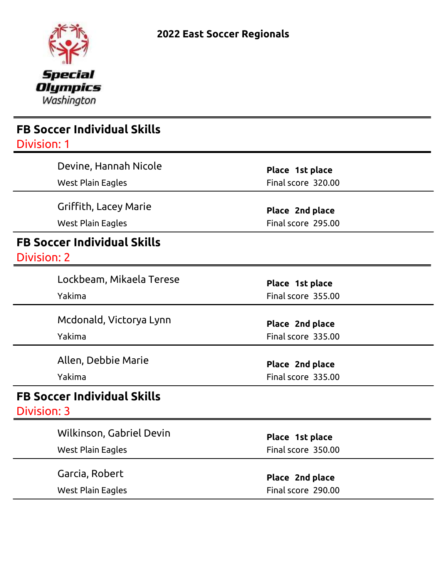

| <b>FB Soccer Individual Skills</b> |                                       |  |
|------------------------------------|---------------------------------------|--|
| <b>Division: 1</b>                 |                                       |  |
| Devine, Hannah Nicole              | Place 1st place                       |  |
| <b>West Plain Eagles</b>           | Final score 320.00                    |  |
| Griffith, Lacey Marie              | Place 2nd place                       |  |
| <b>West Plain Eagles</b>           | Final score 295.00                    |  |
| <b>FB Soccer Individual Skills</b> |                                       |  |
| <b>Division: 2</b>                 |                                       |  |
| Lockbeam, Mikaela Terese           | Place 1st place                       |  |
| Yakima                             | Final score 355.00                    |  |
|                                    |                                       |  |
| Mcdonald, Victorya Lynn            | Place 2nd place                       |  |
| Yakima                             | Final score 335.00                    |  |
| Allen, Debbie Marie                |                                       |  |
| Yakima                             | Place 2nd place<br>Final score 335.00 |  |
|                                    |                                       |  |
| <b>FB Soccer Individual Skills</b> |                                       |  |
| Division: 3                        |                                       |  |
| Wilkinson, Gabriel Devin           | Place 1st place                       |  |
| <b>West Plain Eagles</b>           | Final score 350.00                    |  |
|                                    |                                       |  |
| Garcia, Robert                     | Place 2nd place                       |  |
| <b>West Plain Eagles</b>           | Final score 290.00                    |  |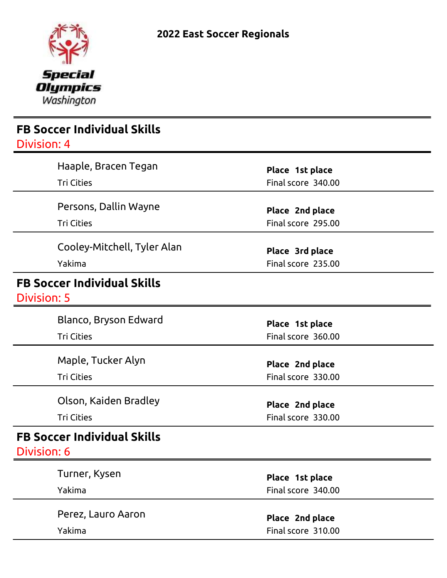

| <b>FB Soccer Individual Skills</b><br>Division: 4 |                                       |  |
|---------------------------------------------------|---------------------------------------|--|
| Haaple, Bracen Tegan<br><b>Tri Cities</b>         | Place 1st place<br>Final score 340.00 |  |
| Persons, Dallin Wayne<br><b>Tri Cities</b>        | Place 2nd place<br>Final score 295.00 |  |
| Cooley-Mitchell, Tyler Alan<br>Yakima             | Place 3rd place<br>Final score 235.00 |  |
| <b>FB Soccer Individual Skills</b><br>Division: 5 |                                       |  |
| Blanco, Bryson Edward<br><b>Tri Cities</b>        | Place 1st place<br>Final score 360.00 |  |
| Maple, Tucker Alyn<br><b>Tri Cities</b>           | Place 2nd place<br>Final score 330.00 |  |
| Olson, Kaiden Bradley<br><b>Tri Cities</b>        | Place 2nd place<br>Final score 330.00 |  |
| <b>FB Soccer Individual Skills</b><br>Division: 6 |                                       |  |
| Turner, Kysen<br>Yakima                           | Place 1st place<br>Final score 340.00 |  |
| Perez, Lauro Aaron<br>Yakima                      | Place 2nd place<br>Final score 310.00 |  |